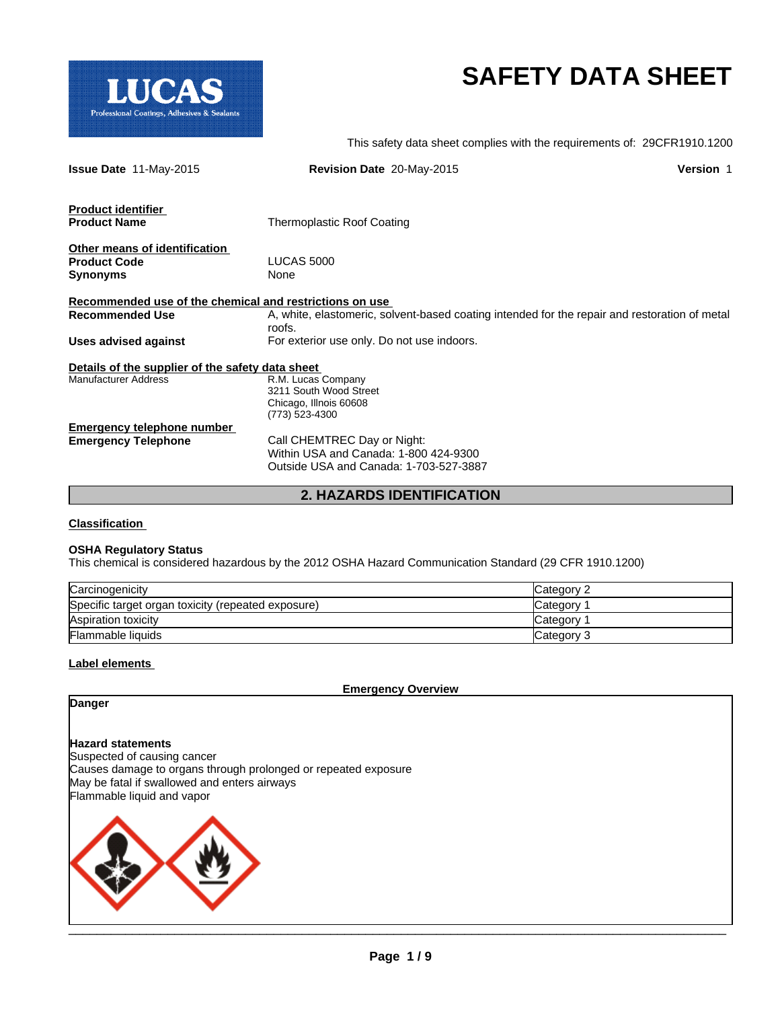

# **SAFETY DATA SHEET**

This safety data sheet complies with the requirements of: 29CFR1910.1200

| <b>Issue Date 11-May-2015</b>                           | <b>Revision Date 20-May-2015</b>                                                                        | <b>Version 1</b> |
|---------------------------------------------------------|---------------------------------------------------------------------------------------------------------|------------------|
| <b>Product identifier</b>                               |                                                                                                         |                  |
| <b>Product Name</b>                                     | Thermoplastic Roof Coating                                                                              |                  |
| Other means of identification                           |                                                                                                         |                  |
| <b>Product Code</b>                                     | <b>LUCAS 5000</b>                                                                                       |                  |
| <b>Synonyms</b>                                         | None                                                                                                    |                  |
| Recommended use of the chemical and restrictions on use |                                                                                                         |                  |
| <b>Recommended Use</b>                                  | A, white, elastomeric, solvent-based coating intended for the repair and restoration of metal<br>roofs. |                  |
| Uses advised against                                    | For exterior use only. Do not use indoors.                                                              |                  |
| Details of the supplier of the safety data sheet        |                                                                                                         |                  |
| <b>Manufacturer Address</b>                             | R.M. Lucas Company                                                                                      |                  |
|                                                         | 3211 South Wood Street                                                                                  |                  |
|                                                         | Chicago, Illnois 60608                                                                                  |                  |
|                                                         | (773) 523-4300                                                                                          |                  |
| Emergency telephone number                              | Call CHEMTREC Day or Night:                                                                             |                  |
| <b>Emergency Telephone</b>                              | Within USA and Canada: 1-800 424-9300                                                                   |                  |
|                                                         | Outside USA and Canada: 1-703-527-3887                                                                  |                  |
|                                                         |                                                                                                         |                  |

**2. HAZARDS IDENTIFICATION**

# **Classification**

# **OSHA Regulatory Status**

This chemical is considered hazardous by the 2012 OSHA Hazard Communication Standard (29 CFR 1910.1200)

| Carcinogenicity                                    | Category 2 |
|----------------------------------------------------|------------|
| Specific target organ toxicity (repeated exposure) | Category   |
| Aspiration toxicity                                | Category 1 |
| <b>Flammable liquids</b>                           | Category 3 |

#### **Label elements**

**Emergency Overview**

# **Danger**

# **Hazard statements**

Suspected of causing cancer Causes damage to organs through prolonged or repeated exposure May be fatal if swallowed and enters airways Flammable liquid and vapor



 $\mathcal{L}_\mathcal{L} = \mathcal{L}_\mathcal{L} = \mathcal{L}_\mathcal{L} = \mathcal{L}_\mathcal{L} = \mathcal{L}_\mathcal{L} = \mathcal{L}_\mathcal{L} = \mathcal{L}_\mathcal{L} = \mathcal{L}_\mathcal{L} = \mathcal{L}_\mathcal{L} = \mathcal{L}_\mathcal{L} = \mathcal{L}_\mathcal{L} = \mathcal{L}_\mathcal{L} = \mathcal{L}_\mathcal{L} = \mathcal{L}_\mathcal{L} = \mathcal{L}_\mathcal{L} = \mathcal{L}_\mathcal{L} = \mathcal{L}_\mathcal{L}$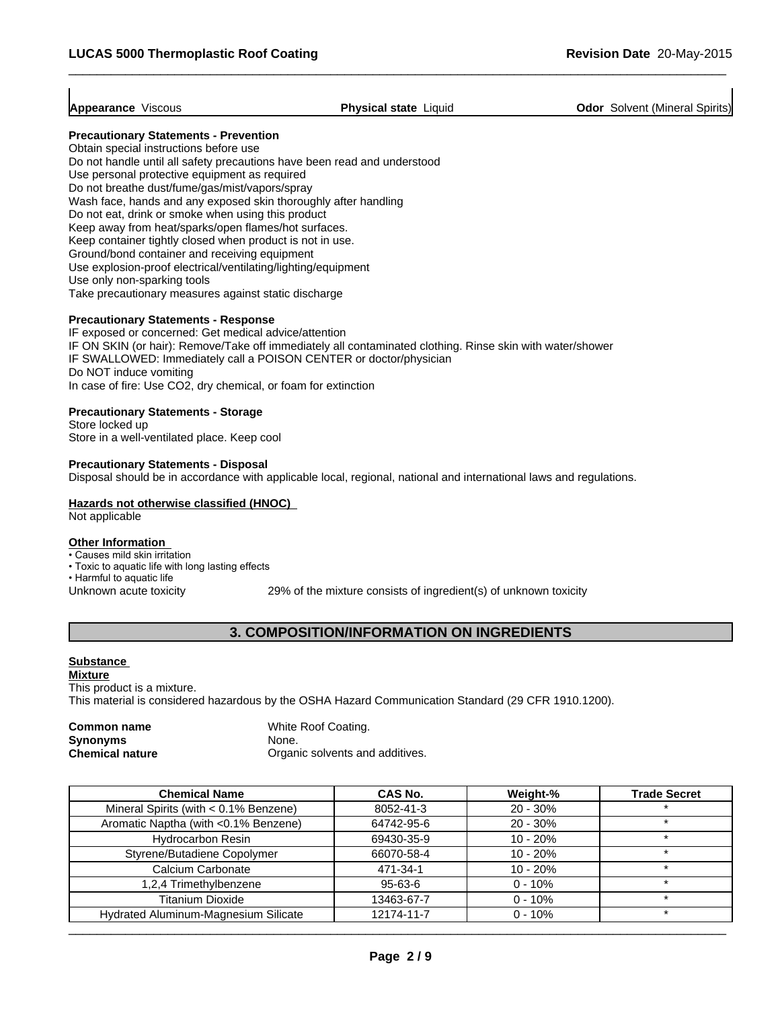$\overline{\phantom{a}}$  ,  $\overline{\phantom{a}}$  ,  $\overline{\phantom{a}}$  ,  $\overline{\phantom{a}}$  ,  $\overline{\phantom{a}}$  ,  $\overline{\phantom{a}}$  ,  $\overline{\phantom{a}}$  ,  $\overline{\phantom{a}}$  ,  $\overline{\phantom{a}}$  ,  $\overline{\phantom{a}}$  ,  $\overline{\phantom{a}}$  ,  $\overline{\phantom{a}}$  ,  $\overline{\phantom{a}}$  ,  $\overline{\phantom{a}}$  ,  $\overline{\phantom{a}}$  ,  $\overline{\phantom{a}}$ 

**Appearance** Viscous **Physical state** Liquid **Odor** Solvent (Mineral Spirits)

# **Precautionary Statements - Prevention**

Obtain special instructions before use Do not handle until all safety precautions have been read and understood Use personal protective equipment as required Do not breathe dust/fume/gas/mist/vapors/spray Wash face, hands and any exposed skin thoroughly after handling Do not eat, drink or smoke when using this product Keep away from heat/sparks/open flames/hot surfaces. Keep container tightly closed when product is not in use. Ground/bond container and receiving equipment Use explosion-proof electrical/ventilating/lighting/equipment Use only non-sparking tools Take precautionary measures against static discharge

#### **Precautionary Statements - Response**

IF exposed or concerned: Get medical advice/attention IF ON SKIN (or hair): Remove/Take off immediately all contaminated clothing. Rinse skin with water/shower IF SWALLOWED: Immediately call a POISON CENTER or doctor/physician Do NOT induce vomiting In case of fire: Use CO2, dry chemical, or foam for extinction

#### **Precautionary Statements - Storage**

Store locked up Store in a well-ventilated place. Keep cool

#### **Precautionary Statements - Disposal**

Disposal should be in accordance with applicable local, regional, national and international laws and regulations.

# **Hazards not otherwise classified (HNOC)**

Not applicable

# **Other Information**

• Causes mild skin irritation

- Toxic to aquatic life with long lasting effects
- Harmful to aquatic life

Unknown acute toxicity 29% of the mixture consists of ingredient(s) of unknown toxicity

# **3. COMPOSITION/INFORMATION ON INGREDIENTS**

# **Substance**

**Mixture** This product is a mixture. This material is considered hazardous by the OSHA Hazard Communication Standard (29 CFR 1910.1200).

| Common name            | White Roof Coating.             |
|------------------------|---------------------------------|
| <b>Synonyms</b>        | None.                           |
| <b>Chemical nature</b> | Organic solvents and additives. |

| <b>Chemical Name</b>                     | <b>CAS No.</b> | Weight-%   | <b>Trade Secret</b> |
|------------------------------------------|----------------|------------|---------------------|
| Mineral Spirits (with $< 0.1\%$ Benzene) | 8052-41-3      | $20 - 30%$ |                     |
| Aromatic Naptha (with <0.1% Benzene)     | 64742-95-6     | $20 - 30%$ |                     |
| <b>Hydrocarbon Resin</b>                 | 69430-35-9     | $10 - 20%$ |                     |
| Styrene/Butadiene Copolymer              | 66070-58-4     | $10 - 20%$ |                     |
| Calcium Carbonate                        | 471-34-1       | $10 - 20%$ |                     |
| 1,2,4 Trimethylbenzene                   | 95-63-6        | $0 - 10%$  |                     |
| <b>Titanium Dioxide</b>                  | 13463-67-7     | $0 - 10%$  |                     |
| Hydrated Aluminum-Magnesium Silicate     | 12174-11-7     | $0 - 10%$  | ÷                   |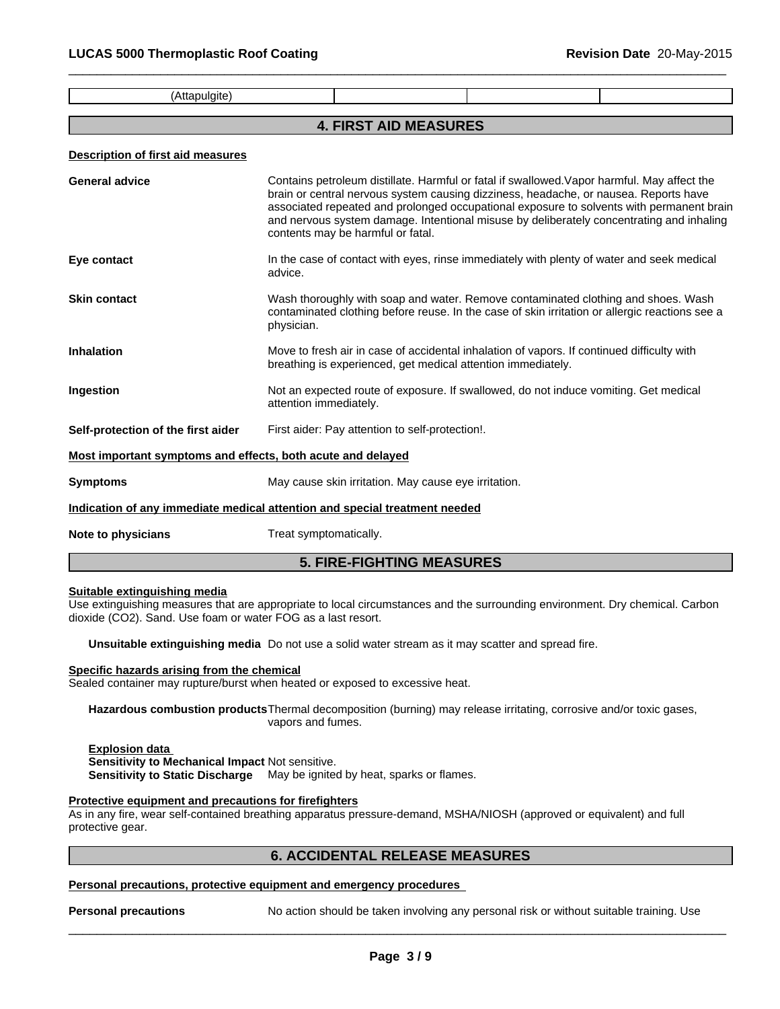(Attapulgite)

# **4. FIRST AID MEASURES**

 $\overline{\phantom{a}}$  ,  $\overline{\phantom{a}}$  ,  $\overline{\phantom{a}}$  ,  $\overline{\phantom{a}}$  ,  $\overline{\phantom{a}}$  ,  $\overline{\phantom{a}}$  ,  $\overline{\phantom{a}}$  ,  $\overline{\phantom{a}}$  ,  $\overline{\phantom{a}}$  ,  $\overline{\phantom{a}}$  ,  $\overline{\phantom{a}}$  ,  $\overline{\phantom{a}}$  ,  $\overline{\phantom{a}}$  ,  $\overline{\phantom{a}}$  ,  $\overline{\phantom{a}}$  ,  $\overline{\phantom{a}}$ 

#### **Description of first aid measures**

| General advice                                              | Contains petroleum distillate. Harmful or fatal if swallowed. Vapor harmful. May affect the<br>brain or central nervous system causing dizziness, headache, or nausea. Reports have<br>associated repeated and prolonged occupational exposure to solvents with permanent brain<br>and nervous system damage. Intentional misuse by deliberately concentrating and inhaling<br>contents may be harmful or fatal. |
|-------------------------------------------------------------|------------------------------------------------------------------------------------------------------------------------------------------------------------------------------------------------------------------------------------------------------------------------------------------------------------------------------------------------------------------------------------------------------------------|
| Eye contact                                                 | In the case of contact with eyes, rinse immediately with plenty of water and seek medical<br>advice.                                                                                                                                                                                                                                                                                                             |
| <b>Skin contact</b>                                         | Wash thoroughly with soap and water. Remove contaminated clothing and shoes. Wash<br>contaminated clothing before reuse. In the case of skin irritation or allergic reactions see a<br>physician.                                                                                                                                                                                                                |
| Inhalation                                                  | Move to fresh air in case of accidental inhalation of vapors. If continued difficulty with<br>breathing is experienced, get medical attention immediately.                                                                                                                                                                                                                                                       |
| Ingestion                                                   | Not an expected route of exposure. If swallowed, do not induce vomiting. Get medical<br>attention immediately.                                                                                                                                                                                                                                                                                                   |
| Self-protection of the first aider                          | First aider: Pay attention to self-protection!.                                                                                                                                                                                                                                                                                                                                                                  |
| Most important symptoms and effects, both acute and delayed |                                                                                                                                                                                                                                                                                                                                                                                                                  |
| Symptoms                                                    | May cause skin irritation. May cause eye irritation.                                                                                                                                                                                                                                                                                                                                                             |
|                                                             | Indication of any immediate medical attention and special treatment needed                                                                                                                                                                                                                                                                                                                                       |
| Note to physicians                                          | Treat symptomatically.                                                                                                                                                                                                                                                                                                                                                                                           |

# **5. FIRE-FIGHTING MEASURES**

# **Suitable extinguishing media**

Use extinguishing measures that are appropriate to local circumstances and the surrounding environment. Dry chemical. Carbon dioxide (CO2). Sand. Use foam or water FOG as a last resort.

**Unsuitable extinguishing media** Do not use a solid water stream as it may scatter and spread fire.

## **Specific hazards arising from the chemical**

Sealed container may rupture/burst when heated or exposed to excessive heat.

**Hazardous combustion products**Thermal decomposition (burning) may release irritating, corrosive and/or toxic gases, vapors and fumes.

# **Explosion data**

**Sensitivity to Mechanical Impact** Not sensitive.

**Sensitivity to Static Discharge** May be ignited by heat, sparks or flames.

# **Protective equipment and precautions for firefighters**

As in any fire, wear self-contained breathing apparatus pressure-demand, MSHA/NIOSH (approved or equivalent) and full protective gear.

# **6. ACCIDENTAL RELEASE MEASURES**

# **Personal precautions, protective equipment and emergency procedures**

**Personal precautions** No action should be taken involving any personal risk or without suitable training. Use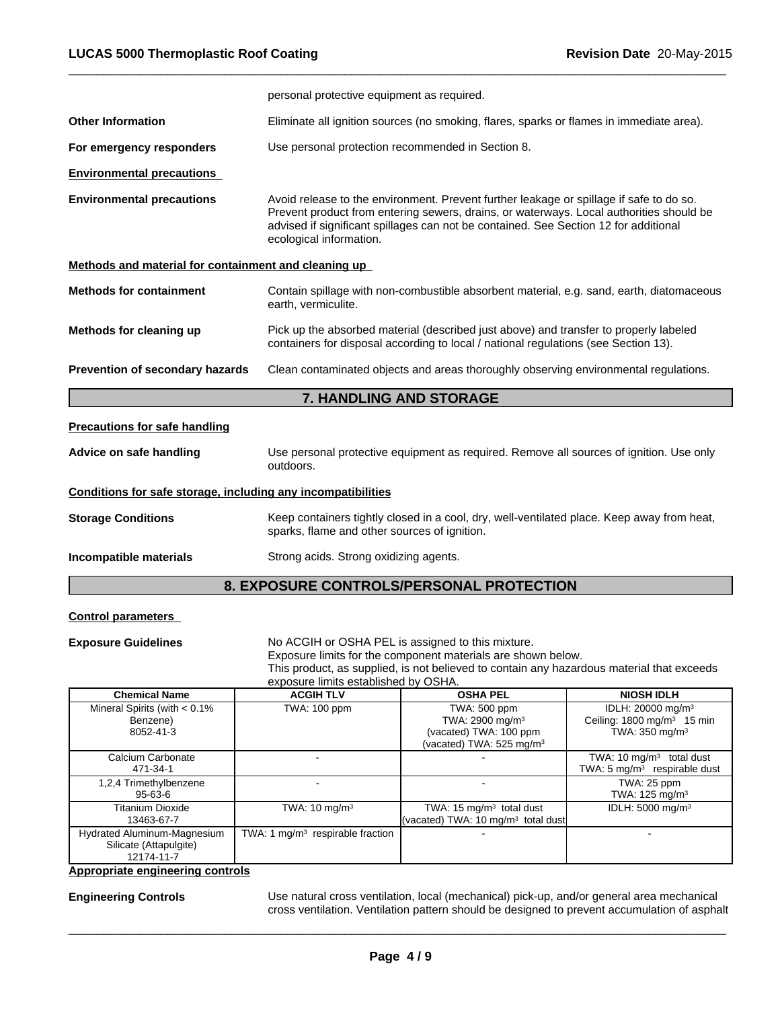|                                                              | personal protective equipment as required.                                                                                                                                                                                                                                                            |  |  |  |
|--------------------------------------------------------------|-------------------------------------------------------------------------------------------------------------------------------------------------------------------------------------------------------------------------------------------------------------------------------------------------------|--|--|--|
| <b>Other Information</b>                                     | Eliminate all ignition sources (no smoking, flares, sparks or flames in immediate area).                                                                                                                                                                                                              |  |  |  |
| For emergency responders                                     | Use personal protection recommended in Section 8.                                                                                                                                                                                                                                                     |  |  |  |
| <b>Environmental precautions</b>                             |                                                                                                                                                                                                                                                                                                       |  |  |  |
| <b>Environmental precautions</b>                             | Avoid release to the environment. Prevent further leakage or spillage if safe to do so.<br>Prevent product from entering sewers, drains, or waterways. Local authorities should be<br>advised if significant spillages can not be contained. See Section 12 for additional<br>ecological information. |  |  |  |
| Methods and material for containment and cleaning up         |                                                                                                                                                                                                                                                                                                       |  |  |  |
| <b>Methods for containment</b>                               | Contain spillage with non-combustible absorbent material, e.g. sand, earth, diatomaceous<br>earth, vermiculite.                                                                                                                                                                                       |  |  |  |
| Methods for cleaning up                                      | Pick up the absorbed material (described just above) and transfer to properly labeled<br>containers for disposal according to local / national regulations (see Section 13).                                                                                                                          |  |  |  |
| Prevention of secondary hazards                              | Clean contaminated objects and areas thoroughly observing environmental regulations.                                                                                                                                                                                                                  |  |  |  |
|                                                              | 7. HANDLING AND STORAGE                                                                                                                                                                                                                                                                               |  |  |  |
| <b>Precautions for safe handling</b>                         |                                                                                                                                                                                                                                                                                                       |  |  |  |
| Advice on safe handling                                      | Use personal protective equipment as required. Remove all sources of ignition. Use only<br>outdoors.                                                                                                                                                                                                  |  |  |  |
| Conditions for safe storage, including any incompatibilities |                                                                                                                                                                                                                                                                                                       |  |  |  |
| <b>Storage Conditions</b>                                    | Keep containers tightly closed in a cool, dry, well-ventilated place. Keep away from heat,<br>sparks, flame and other sources of ignition.                                                                                                                                                            |  |  |  |
| Incompatible materials                                       | Strong acids. Strong oxidizing agents.                                                                                                                                                                                                                                                                |  |  |  |
|                                                              |                                                                                                                                                                                                                                                                                                       |  |  |  |

 $\overline{\phantom{a}}$  ,  $\overline{\phantom{a}}$  ,  $\overline{\phantom{a}}$  ,  $\overline{\phantom{a}}$  ,  $\overline{\phantom{a}}$  ,  $\overline{\phantom{a}}$  ,  $\overline{\phantom{a}}$  ,  $\overline{\phantom{a}}$  ,  $\overline{\phantom{a}}$  ,  $\overline{\phantom{a}}$  ,  $\overline{\phantom{a}}$  ,  $\overline{\phantom{a}}$  ,  $\overline{\phantom{a}}$  ,  $\overline{\phantom{a}}$  ,  $\overline{\phantom{a}}$  ,  $\overline{\phantom{a}}$ 

# **8. EXPOSURE CONTROLS/PERSONAL PROTECTION**

# **Control parameters**

**Exposure Guidelines** No ACGIH or OSHA PEL is assigned to this mixture.

Exposure limits for the component materials are shown below.

This product, as supplied, is not believed to contain any hazardous material that exceeds exposure limits established by OSHA.

| <b>Chemical Name</b>                                                | <b>ACGIH TLV</b>                   | <b>OSHA PEL</b>                                                                                       | <b>NIOSH IDLH</b>                                                                                   |
|---------------------------------------------------------------------|------------------------------------|-------------------------------------------------------------------------------------------------------|-----------------------------------------------------------------------------------------------------|
| Mineral Spirits (with $< 0.1\%$<br>Benzene)<br>8052-41-3            | TWA: 100 ppm                       | TWA: 500 ppm<br>TWA: $2900 \text{ mg/m}^3$<br>(vacated) TWA: 100 ppm<br>(vacated) TWA: $525$ mg/m $3$ | IDLH: 20000 mg/m <sup>3</sup><br>Ceiling: $1800 \text{ mg/m}^3$ 15 min<br>TWA: $350 \text{ mg/m}^3$ |
| Calcium Carbonate<br>471-34-1                                       |                                    |                                                                                                       | TWA: $10 \text{ mg/m}^3$ total dust<br>TWA: $5 \text{ mg/m}^3$ respirable dust                      |
| 1,2,4 Trimethylbenzene<br>95-63-6                                   |                                    |                                                                                                       | TWA: 25 ppm<br>TWA: $125 \text{ mg/m}^3$                                                            |
| Titanium Dioxide<br>13463-67-7                                      | TWA: $10 \text{ mg/m}^3$           | TWA: $15 \text{ mg/m}^3$ total dust<br>(vacated) TWA: 10 $mg/m3$ total dust                           | IDLH: $5000 \text{ mg/m}^3$                                                                         |
| Hydrated Aluminum-Magnesium<br>Silicate (Attapulgite)<br>12174-11-7 | TWA: 1 $mq/m3$ respirable fraction |                                                                                                       |                                                                                                     |

**Appropriate engineering controls**

**Engineering Controls** Use natural cross ventilation, local (mechanical) pick-up, and/or general area mechanical cross ventilation. Ventilation pattern should be designed to prevent accumulation of asphalt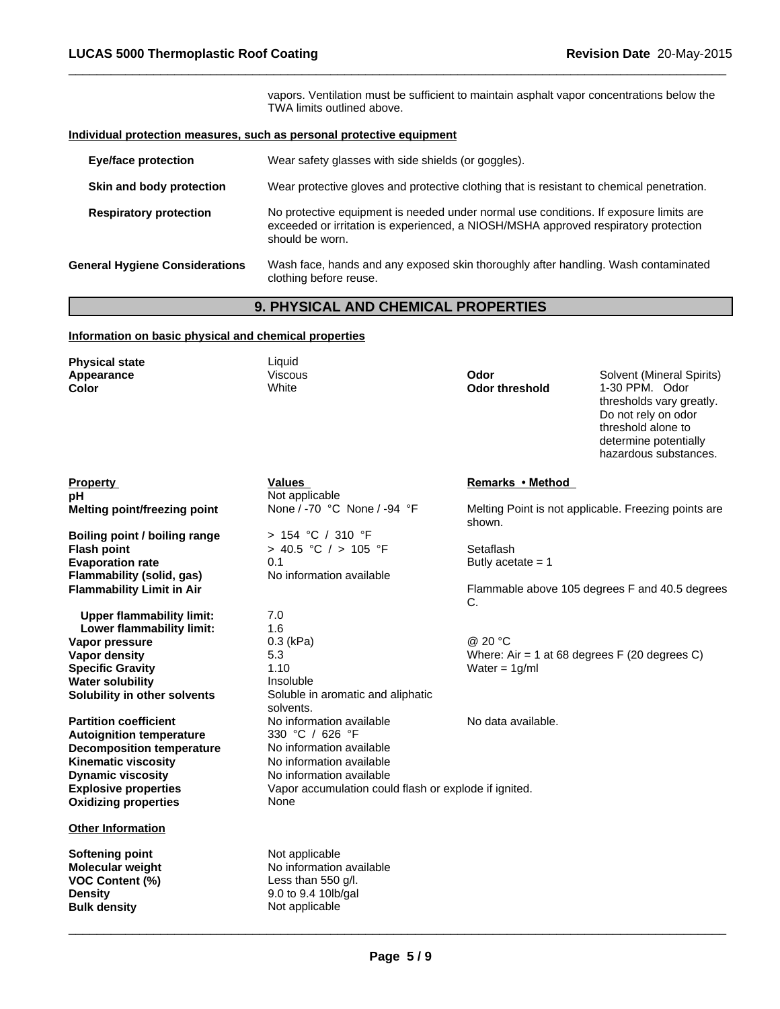vapors. Ventilation must be sufficient to maintain asphalt vapor concentrations below the TWA limits outlined above.

 $\overline{\phantom{a}}$  ,  $\overline{\phantom{a}}$  ,  $\overline{\phantom{a}}$  ,  $\overline{\phantom{a}}$  ,  $\overline{\phantom{a}}$  ,  $\overline{\phantom{a}}$  ,  $\overline{\phantom{a}}$  ,  $\overline{\phantom{a}}$  ,  $\overline{\phantom{a}}$  ,  $\overline{\phantom{a}}$  ,  $\overline{\phantom{a}}$  ,  $\overline{\phantom{a}}$  ,  $\overline{\phantom{a}}$  ,  $\overline{\phantom{a}}$  ,  $\overline{\phantom{a}}$  ,  $\overline{\phantom{a}}$ 

# **Individual protection measures, such as personal protective equipment**

| <b>Eye/face protection</b>            | Wear safety glasses with side shields (or goggles).                                                                                                                                             |
|---------------------------------------|-------------------------------------------------------------------------------------------------------------------------------------------------------------------------------------------------|
| Skin and body protection              | Wear protective gloves and protective clothing that is resistant to chemical penetration.                                                                                                       |
| <b>Respiratory protection</b>         | No protective equipment is needed under normal use conditions. If exposure limits are<br>exceeded or irritation is experienced, a NIOSH/MSHA approved respiratory protection<br>should be worn. |
| <b>General Hygiene Considerations</b> | Wash face, hands and any exposed skin thoroughly after handling. Wash contaminated<br>clothing before reuse.                                                                                    |

# **9. PHYSICAL AND CHEMICAL PROPERTIES**

# **Information on basic physical and chemical properties**

| <b>Physical state</b><br>Appearance<br>Color | Liquid<br><b>Viscous</b><br>White                     | Odor<br>Odor threshold | Solvent (Mineral Spirits)<br>1-30 PPM. Odor<br>thresholds vary greatly.<br>Do not rely on odor<br>threshold alone to<br>determine potentially<br>hazardous substances. |
|----------------------------------------------|-------------------------------------------------------|------------------------|------------------------------------------------------------------------------------------------------------------------------------------------------------------------|
| <b>Property</b>                              | <b>Values</b>                                         | Remarks • Method       |                                                                                                                                                                        |
| рH                                           | Not applicable                                        |                        |                                                                                                                                                                        |
| <b>Melting point/freezing point</b>          | None / -70 °C None / -94 °F                           | shown.                 | Melting Point is not applicable. Freezing points are                                                                                                                   |
| Boiling point / boiling range                | > 154 °C / 310 °F                                     |                        |                                                                                                                                                                        |
| <b>Flash point</b>                           | > 40.5 °C / > 105 °F                                  | Setaflash              |                                                                                                                                                                        |
| <b>Evaporation rate</b>                      | 0.1                                                   | Butly acetate $= 1$    |                                                                                                                                                                        |
| <b>Flammability (solid, gas)</b>             | No information available                              |                        |                                                                                                                                                                        |
| <b>Flammability Limit in Air</b>             |                                                       | C.                     | Flammable above 105 degrees F and 40.5 degrees                                                                                                                         |
| <b>Upper flammability limit:</b>             | 7.0                                                   |                        |                                                                                                                                                                        |
| Lower flammability limit:                    | 1.6                                                   |                        |                                                                                                                                                                        |
| Vapor pressure                               | $0.3$ (kPa)                                           | @ 20 °C                |                                                                                                                                                                        |
| Vapor density                                | 5.3                                                   |                        | Where: Air = 1 at 68 degrees $F(20$ degrees C)                                                                                                                         |
| <b>Specific Gravity</b>                      | 1.10                                                  | Water = $1g/ml$        |                                                                                                                                                                        |
| <b>Water solubility</b>                      | Insoluble                                             |                        |                                                                                                                                                                        |
| Solubility in other solvents                 | Soluble in aromatic and aliphatic<br>solvents.        |                        |                                                                                                                                                                        |
| <b>Partition coefficient</b>                 | No information available                              | No data available.     |                                                                                                                                                                        |
| <b>Autoignition temperature</b>              | 330 °C / 626 °F                                       |                        |                                                                                                                                                                        |
| <b>Decomposition temperature</b>             | No information available                              |                        |                                                                                                                                                                        |
| <b>Kinematic viscosity</b>                   | No information available                              |                        |                                                                                                                                                                        |
| <b>Dynamic viscosity</b>                     | No information available                              |                        |                                                                                                                                                                        |
| <b>Explosive properties</b>                  | Vapor accumulation could flash or explode if ignited. |                        |                                                                                                                                                                        |
| <b>Oxidizing properties</b>                  | None                                                  |                        |                                                                                                                                                                        |
| <b>Other Information</b>                     |                                                       |                        |                                                                                                                                                                        |
| <b>Softening point</b>                       | Not applicable                                        |                        |                                                                                                                                                                        |
| Molecular weight                             | No information available                              |                        |                                                                                                                                                                        |
| <b>VOC Content (%)</b>                       | Less than 550 g/l.                                    |                        |                                                                                                                                                                        |
| <b>Density</b>                               | 9.0 to 9.4 10lb/gal                                   |                        |                                                                                                                                                                        |
| <b>Bulk density</b>                          | Not applicable                                        |                        |                                                                                                                                                                        |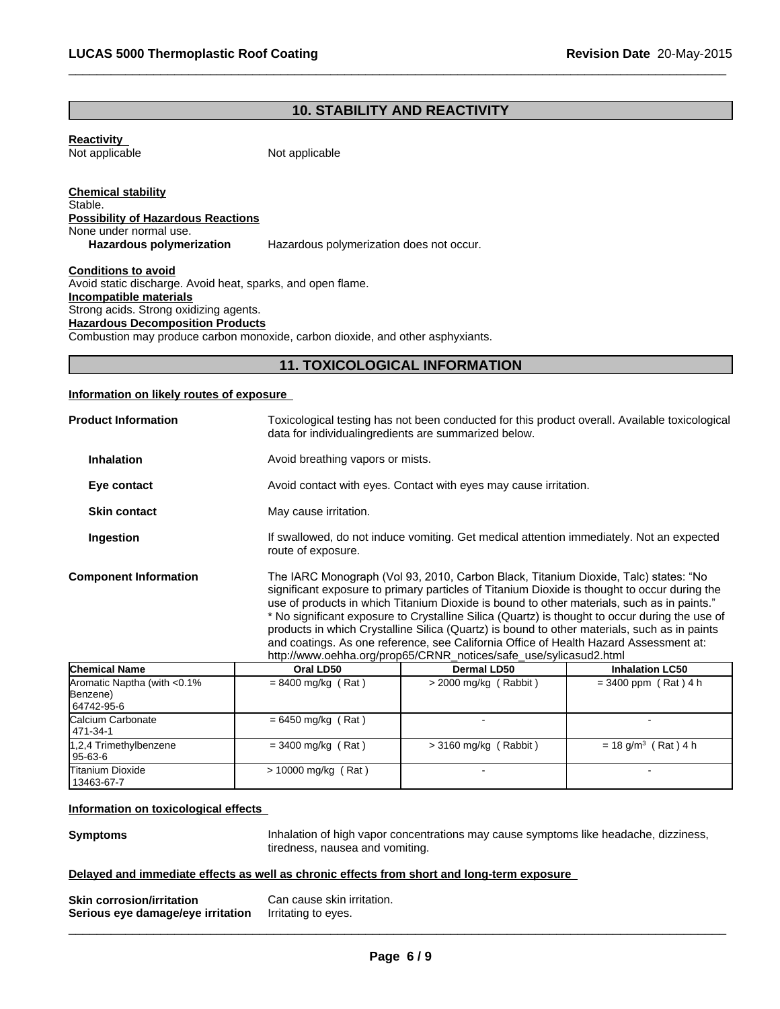# **10. STABILITY AND REACTIVITY**

 $\overline{\phantom{a}}$  ,  $\overline{\phantom{a}}$  ,  $\overline{\phantom{a}}$  ,  $\overline{\phantom{a}}$  ,  $\overline{\phantom{a}}$  ,  $\overline{\phantom{a}}$  ,  $\overline{\phantom{a}}$  ,  $\overline{\phantom{a}}$  ,  $\overline{\phantom{a}}$  ,  $\overline{\phantom{a}}$  ,  $\overline{\phantom{a}}$  ,  $\overline{\phantom{a}}$  ,  $\overline{\phantom{a}}$  ,  $\overline{\phantom{a}}$  ,  $\overline{\phantom{a}}$  ,  $\overline{\phantom{a}}$ 

**Reactivity**  Not applicable

Not applicable

**Chemical stability** Stable. **Possibility of Hazardous Reactions** None under normal use.<br> **Hazardous polymerization** Hazardous polymerization does not occur.

**Conditions to avoid** Avoid static discharge. Avoid heat, sparks, and open flame. **Incompatible materials** Strong acids. Strong oxidizing agents. **Hazardous Decomposition Products** Combustion may produce carbon monoxide, carbon dioxide, and other asphyxiants.

# **11. TOXICOLOGICAL INFORMATION**

# **Information on likely routes of exposure**

| <b>Product Information</b>                             |                       | Toxicological testing has not been conducted for this product overall. Available toxicological<br>data for individualing redients are summarized below.                                                                                                                                                                                                                                                                                                                                                                                                                                                                                           |                                   |  |  |
|--------------------------------------------------------|-----------------------|---------------------------------------------------------------------------------------------------------------------------------------------------------------------------------------------------------------------------------------------------------------------------------------------------------------------------------------------------------------------------------------------------------------------------------------------------------------------------------------------------------------------------------------------------------------------------------------------------------------------------------------------------|-----------------------------------|--|--|
| <b>Inhalation</b>                                      |                       | Avoid breathing vapors or mists.                                                                                                                                                                                                                                                                                                                                                                                                                                                                                                                                                                                                                  |                                   |  |  |
| Eye contact                                            |                       | Avoid contact with eyes. Contact with eyes may cause irritation.                                                                                                                                                                                                                                                                                                                                                                                                                                                                                                                                                                                  |                                   |  |  |
| <b>Skin contact</b>                                    | May cause irritation. |                                                                                                                                                                                                                                                                                                                                                                                                                                                                                                                                                                                                                                                   |                                   |  |  |
| Ingestion                                              | route of exposure.    | If swallowed, do not induce vomiting. Get medical attention immediately. Not an expected                                                                                                                                                                                                                                                                                                                                                                                                                                                                                                                                                          |                                   |  |  |
| <b>Component Information</b>                           |                       | The IARC Monograph (Vol 93, 2010, Carbon Black, Titanium Dioxide, Talc) states: "No<br>significant exposure to primary particles of Titanium Dioxide is thought to occur during the<br>use of products in which Titanium Dioxide is bound to other materials, such as in paints."<br>* No significant exposure to Crystalline Silica (Quartz) is thought to occur during the use of<br>products in which Crystalline Silica (Quartz) is bound to other materials, such as in paints<br>and coatings. As one reference, see California Office of Health Hazard Assessment at:<br>http://www.oehha.org/prop65/CRNR_notices/safe_use/sylicasud2.html |                                   |  |  |
| <b>Chemical Name</b>                                   | Oral LD50             | <b>Dermal LD50</b>                                                                                                                                                                                                                                                                                                                                                                                                                                                                                                                                                                                                                                | <b>Inhalation LC50</b>            |  |  |
| Aromatic Naptha (with <0.1%)<br>Benzene)<br>64742-95-6 | $= 8400$ mg/kg (Rat)  | $>$ 2000 mg/kg (Rabbit)                                                                                                                                                                                                                                                                                                                                                                                                                                                                                                                                                                                                                           | $= 3400$ ppm (Rat) 4 h            |  |  |
| Calcium Carbonate<br>471-34-1                          | $= 6450$ mg/kg (Rat)  |                                                                                                                                                                                                                                                                                                                                                                                                                                                                                                                                                                                                                                                   |                                   |  |  |
| 1,2,4 Trimethylbenzene<br>95-63-6                      | $=$ 3400 mg/kg (Rat)  | $>$ 3160 mg/kg (Rabbit)                                                                                                                                                                                                                                                                                                                                                                                                                                                                                                                                                                                                                           | $= 18$ g/m <sup>3</sup> (Rat) 4 h |  |  |
| <b>Titanium Dioxide</b><br>13463-67-7                  | > 10000 mg/kg (Rat)   |                                                                                                                                                                                                                                                                                                                                                                                                                                                                                                                                                                                                                                                   |                                   |  |  |

## **Information on toxicological effects**

**Symptoms Inhalation of high vapor concentrations may cause symptoms like headache, dizziness,** tiredness, nausea and vomiting.

 $\overline{\phantom{a}}$  ,  $\overline{\phantom{a}}$  ,  $\overline{\phantom{a}}$  ,  $\overline{\phantom{a}}$  ,  $\overline{\phantom{a}}$  ,  $\overline{\phantom{a}}$  ,  $\overline{\phantom{a}}$  ,  $\overline{\phantom{a}}$  ,  $\overline{\phantom{a}}$  ,  $\overline{\phantom{a}}$  ,  $\overline{\phantom{a}}$  ,  $\overline{\phantom{a}}$  ,  $\overline{\phantom{a}}$  ,  $\overline{\phantom{a}}$  ,  $\overline{\phantom{a}}$  ,  $\overline{\phantom{a}}$ 

#### **Delayed and immediate effects as well as chronic effects from short and long-term exposure**

| <b>Skin corrosion/irritation</b>  | Can cause skin irritation. |
|-----------------------------------|----------------------------|
| Serious eye damage/eye irritation | Irritating to eyes.        |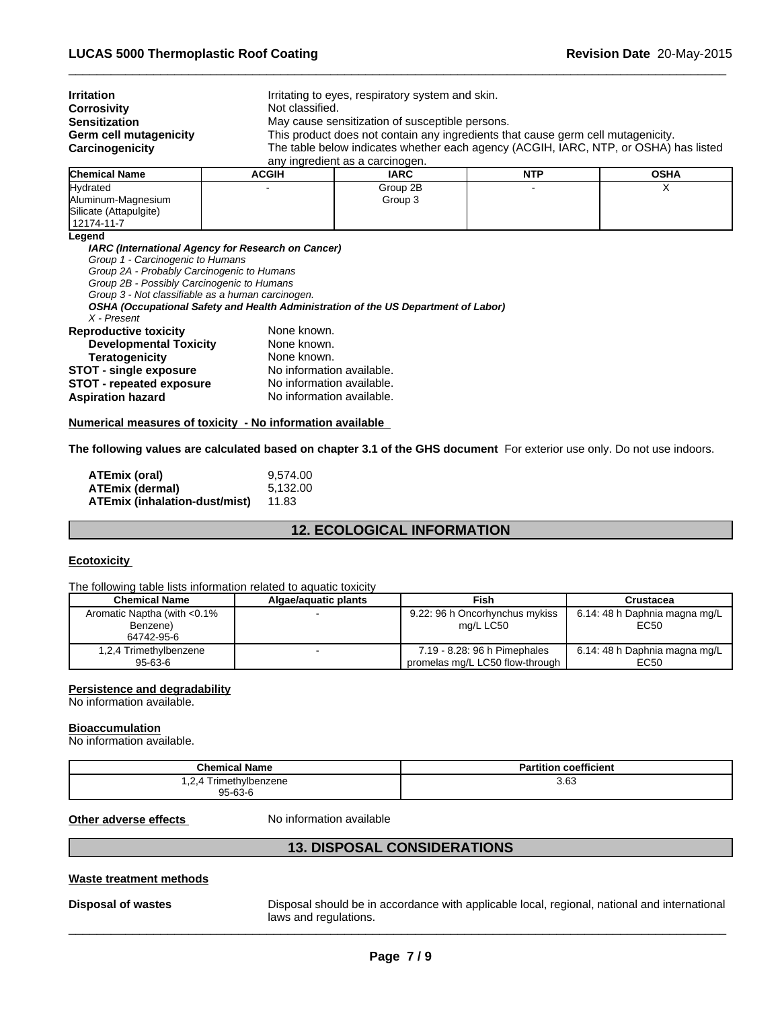| <b>Irritation</b>      |              | Irritating to eyes, respiratory system and skin.                                     |            |             |  |  |
|------------------------|--------------|--------------------------------------------------------------------------------------|------------|-------------|--|--|
| Corrosivity            |              | Not classified.                                                                      |            |             |  |  |
| <b>Sensitization</b>   |              | May cause sensitization of susceptible persons.                                      |            |             |  |  |
| Germ cell mutagenicity |              | This product does not contain any ingredients that cause germ cell mutagenicity.     |            |             |  |  |
| Carcinogenicity        |              | The table below indicates whether each agency (ACGIH, IARC, NTP, or OSHA) has listed |            |             |  |  |
|                        |              | any ingredient as a carcinogen.                                                      |            |             |  |  |
| <b>Chemical Name</b>   | <b>ACGIH</b> | <b>IARC</b>                                                                          | <b>NTP</b> | <b>OSHA</b> |  |  |
|                        |              |                                                                                      |            |             |  |  |

 $\overline{\phantom{a}}$  ,  $\overline{\phantom{a}}$  ,  $\overline{\phantom{a}}$  ,  $\overline{\phantom{a}}$  ,  $\overline{\phantom{a}}$  ,  $\overline{\phantom{a}}$  ,  $\overline{\phantom{a}}$  ,  $\overline{\phantom{a}}$  ,  $\overline{\phantom{a}}$  ,  $\overline{\phantom{a}}$  ,  $\overline{\phantom{a}}$  ,  $\overline{\phantom{a}}$  ,  $\overline{\phantom{a}}$  ,  $\overline{\phantom{a}}$  ,  $\overline{\phantom{a}}$  ,  $\overline{\phantom{a}}$ 

| iChemicai Name⊹        | AUGIN | IARU     | NIF | USHA |
|------------------------|-------|----------|-----|------|
| Hydrated               | -     | Group 2B |     | . .  |
| Aluminum-Magnesium     |       | Group 3  |     |      |
| Silicate (Attapulgite) |       |          |     |      |
| 12174-11-7             |       |          |     |      |
| Legend                 |       |          |     |      |

*IARC (International Agency for Research on Cancer)*

*Group 1 - Carcinogenic to Humans*

*Group 2A - Probably Carcinogenic to Humans*

*Group 2B - Possibly Carcinogenic to Humans*

*Group 3 - Not classifiable as a human carcinogen.*

*OSHA (Occupational Safety and Health Administration of the US Department of Labor)*

*X - Present*

| <b>Reproductive toxicity</b>    | None known.               |
|---------------------------------|---------------------------|
| <b>Developmental Toxicity</b>   | None known.               |
| <b>Teratogenicity</b>           | None known.               |
| <b>STOT - single exposure</b>   | No information available. |
| <b>STOT - repeated exposure</b> | No information available. |
| Aspiration hazard               | No information available. |

#### **Numerical measures of toxicity - No information available**

**The following values are calculated based on chapter 3.1 of the GHS document** For exterior use only. Do not use indoors.

| ATEmix (oral)                 | 9.574.00 |
|-------------------------------|----------|
| ATEmix (dermal)               | 5.132.00 |
| ATEmix (inhalation-dust/mist) | 11.83    |

# **12. ECOLOGICAL INFORMATION**

# **Ecotoxicity**

The following table lists information related to aquatic toxicity

| <b>Chemical Name</b>         | Algae/aguatic plants | Fish                            | Crustacea                     |
|------------------------------|----------------------|---------------------------------|-------------------------------|
| Aromatic Naptha (with <0.1%) |                      | 9.22: 96 h Oncorhynchus mykiss  | 6.14: 48 h Daphnia magna mg/L |
| Benzene)                     |                      | ma/L LC50                       | EC50                          |
| 64742-95-6                   |                      |                                 |                               |
| 1,2,4 Trimethylbenzene       |                      | 7.19 - 8.28: 96 h Pimephales    | 6.14: 48 h Daphnia magna mg/L |
| 95-63-6                      |                      | promelas mg/L LC50 flow-through | EC50                          |

#### **Persistence and degradability**

No information available.

# **Bioaccumulation**

No information available.

| <b>Chemical Name</b>     | <b>Partition coefficient</b> |
|--------------------------|------------------------------|
| Trimethylbenzene<br>.2.4 | 3.63                         |
| $95 - 63 - 6$            |                              |

**Other adverse effects** No information available

# **13. DISPOSAL CONSIDERATIONS**

# **Waste treatment methods**

**Disposal of wastes** Disposal should be in accordance with applicable local, regional, national and international laws and regulations.  $l$  laws and regulations.  $\blacksquare$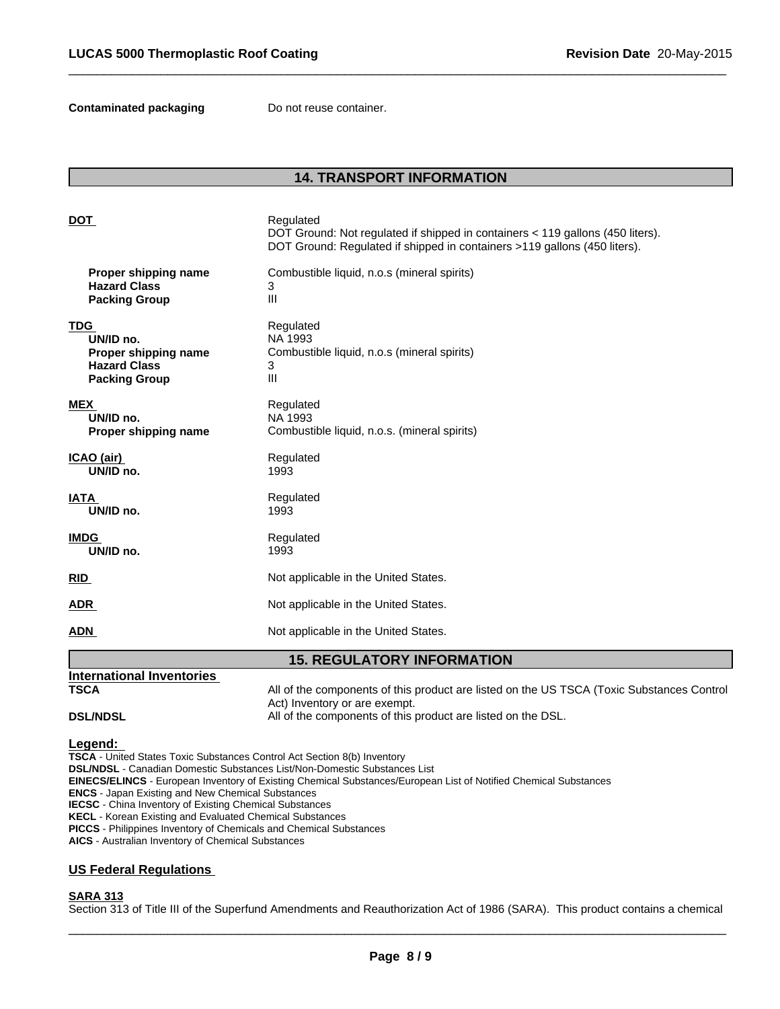**Contaminated packaging Do not reuse container.** 

# **14. TRANSPORT INFORMATION**

 $\overline{\phantom{a}}$  ,  $\overline{\phantom{a}}$  ,  $\overline{\phantom{a}}$  ,  $\overline{\phantom{a}}$  ,  $\overline{\phantom{a}}$  ,  $\overline{\phantom{a}}$  ,  $\overline{\phantom{a}}$  ,  $\overline{\phantom{a}}$  ,  $\overline{\phantom{a}}$  ,  $\overline{\phantom{a}}$  ,  $\overline{\phantom{a}}$  ,  $\overline{\phantom{a}}$  ,  $\overline{\phantom{a}}$  ,  $\overline{\phantom{a}}$  ,  $\overline{\phantom{a}}$  ,  $\overline{\phantom{a}}$ 

| <b>DOT</b>                        | Regulated<br>DOT Ground: Not regulated if shipped in containers < 119 gallons (450 liters).<br>DOT Ground: Regulated if shipped in containers >119 gallons (450 liters). |  |  |
|-----------------------------------|--------------------------------------------------------------------------------------------------------------------------------------------------------------------------|--|--|
| Proper shipping name              | Combustible liquid, n.o.s (mineral spirits)                                                                                                                              |  |  |
| <b>Hazard Class</b>               | 3                                                                                                                                                                        |  |  |
| <b>Packing Group</b>              | III                                                                                                                                                                      |  |  |
| <b>TDG</b>                        | Regulated                                                                                                                                                                |  |  |
| UN/ID no.                         | NA 1993                                                                                                                                                                  |  |  |
| Proper shipping name              | Combustible liquid, n.o.s (mineral spirits)                                                                                                                              |  |  |
| <b>Hazard Class</b>               | 3                                                                                                                                                                        |  |  |
| <b>Packing Group</b>              | III                                                                                                                                                                      |  |  |
| <b>MEX</b>                        | Regulated                                                                                                                                                                |  |  |
| UN/ID no.                         | NA 1993                                                                                                                                                                  |  |  |
| Proper shipping name              | Combustible liquid, n.o.s. (mineral spirits)                                                                                                                             |  |  |
| ICAO (air)                        | Regulated                                                                                                                                                                |  |  |
| UN/ID no.                         | 1993                                                                                                                                                                     |  |  |
| <b>IATA</b>                       | Regulated                                                                                                                                                                |  |  |
| UN/ID no.                         | 1993                                                                                                                                                                     |  |  |
| <b>IMDG</b>                       | Regulated                                                                                                                                                                |  |  |
| UN/ID no.                         | 1993                                                                                                                                                                     |  |  |
| <b>RID</b>                        | Not applicable in the United States.                                                                                                                                     |  |  |
| <b>ADR</b>                        | Not applicable in the United States.                                                                                                                                     |  |  |
| <b>ADN</b>                        | Not applicable in the United States.                                                                                                                                     |  |  |
| <b>15. REGULATORY INFORMATION</b> |                                                                                                                                                                          |  |  |

# **DSL/NDSL All of the components of this product are listed on the DSL.**

**Legend:** 

**TSCA** - United States Toxic Substances Control Act Section 8(b) Inventory **DSL/NDSL** - Canadian Domestic Substances List/Non-Domestic Substances List **EINECS/ELINCS** - European Inventory of Existing Chemical Substances/European List of Notified Chemical Substances **ENCS** - Japan Existing and New Chemical Substances **IECSC** - China Inventory of Existing Chemical Substances **KECL** - Korean Existing and Evaluated Chemical Substances **PICCS** - Philippines Inventory of Chemicals and Chemical Substances **AICS** - Australian Inventory of Chemical Substances

Act) Inventory or are exempt.

# **US Federal Regulations**

**International Inventories** 

# **SARA 313**

Section 313 of Title III of the Superfund Amendments and Reauthorization Act of 1986 (SARA). This product contains a chemical

**TSCA** All of the components of this product are listed on the US TSCA (Toxic Substances Control